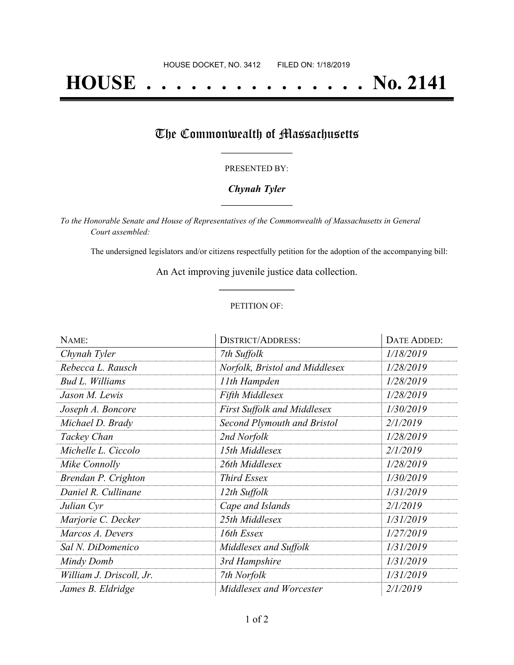# **HOUSE . . . . . . . . . . . . . . . No. 2141**

## The Commonwealth of Massachusetts

#### PRESENTED BY:

#### *Chynah Tyler* **\_\_\_\_\_\_\_\_\_\_\_\_\_\_\_\_\_**

*To the Honorable Senate and House of Representatives of the Commonwealth of Massachusetts in General Court assembled:*

The undersigned legislators and/or citizens respectfully petition for the adoption of the accompanying bill:

An Act improving juvenile justice data collection. **\_\_\_\_\_\_\_\_\_\_\_\_\_\_\_**

#### PETITION OF:

| NAME:                    | <b>DISTRICT/ADDRESS:</b>           | DATE ADDED: |
|--------------------------|------------------------------------|-------------|
| Chynah Tyler             | 7th Suffolk                        | 1/18/2019   |
| Rebecca L. Rausch        | Norfolk, Bristol and Middlesex     | 1/28/2019   |
| <b>Bud L. Williams</b>   | 11th Hampden                       | 1/28/2019   |
| Jason M. Lewis           | <b>Fifth Middlesex</b>             | 1/28/2019   |
| Joseph A. Boncore        | <b>First Suffolk and Middlesex</b> | 1/30/2019   |
| Michael D. Brady         | <b>Second Plymouth and Bristol</b> | 2/1/2019    |
| Tackey Chan              | 2nd Norfolk                        | 1/28/2019   |
| Michelle L. Ciccolo      | 15th Middlesex                     | 2/1/2019    |
| Mike Connolly            | 26th Middlesex                     | 1/28/2019   |
| Brendan P. Crighton      | Third Essex                        | 1/30/2019   |
| Daniel R. Cullinane      | 12th Suffolk                       | 1/31/2019   |
| Julian Cyr               | Cape and Islands                   | 2/1/2019    |
| Marjorie C. Decker       | 25th Middlesex                     | 1/31/2019   |
| Marcos A. Devers         | 16th Essex                         | 1/27/2019   |
| Sal N. DiDomenico        | Middlesex and Suffolk              | 1/31/2019   |
| Mindy Domb               | 3rd Hampshire                      | 1/31/2019   |
| William J. Driscoll, Jr. | 7th Norfolk                        | 1/31/2019   |
| James B. Eldridge        | Middlesex and Worcester            | 2/1/2019    |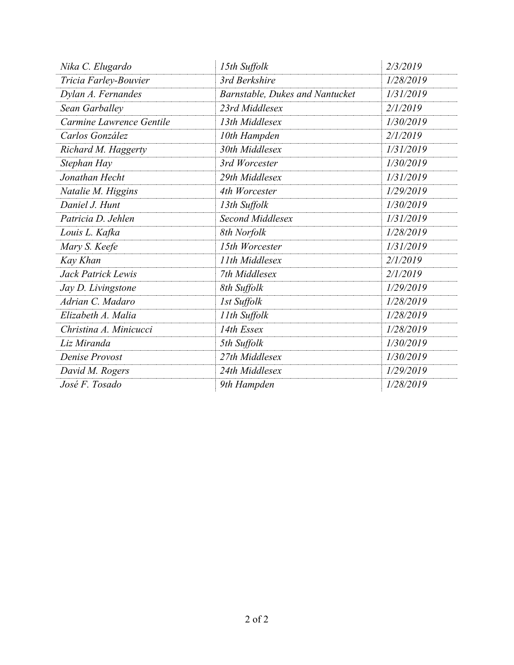| Nika C. Elugardo         | 15th Suffolk                    | 2/3/2019  |
|--------------------------|---------------------------------|-----------|
| Tricia Farley-Bouvier    | 3rd Berkshire                   | 1/28/2019 |
| Dylan A. Fernandes       | Barnstable, Dukes and Nantucket | 1/31/2019 |
| Sean Garballey           | 23rd Middlesex                  | 2/1/2019  |
| Carmine Lawrence Gentile | 13th Middlesex                  | 1/30/2019 |
| Carlos González          | 10th Hampden                    | 2/1/2019  |
| Richard M. Haggerty      | 30th Middlesex                  | 1/31/2019 |
| Stephan Hay              | 3rd Worcester                   | 1/30/2019 |
| Jonathan Hecht           | 29th Middlesex                  | 1/31/2019 |
| Natalie M. Higgins       | 4th Worcester                   | 1/29/2019 |
| Daniel J. Hunt           | 13th Suffolk                    | 1/30/2019 |
| Patricia D. Jehlen       | Second Middlesex                | 1/31/2019 |
| Louis L. Kafka           | 8th Norfolk                     | 1/28/2019 |
| Mary S. Keefe            | 15th Worcester                  | 1/31/2019 |
| Kay Khan                 | 11th Middlesex                  | 2/1/2019  |
| Jack Patrick Lewis       | 7th Middlesex                   | 2/1/2019  |
| Jay D. Livingstone       | 8th Suffolk                     | 1/29/2019 |
| Adrian C. Madaro         | 1st Suffolk                     | 1/28/2019 |
| Elizabeth A. Malia       | 11th Suffolk                    | 1/28/2019 |
| Christina A. Minicucci   | 14th Essex                      | 1/28/2019 |
| Liz Miranda              | 5th Suffolk                     | 1/30/2019 |
| <b>Denise Provost</b>    | 27th Middlesex                  | 1/30/2019 |
| David M. Rogers          | 24th Middlesex                  | 1/29/2019 |
| José F. Tosado           | 9th Hampden                     | 1/28/2019 |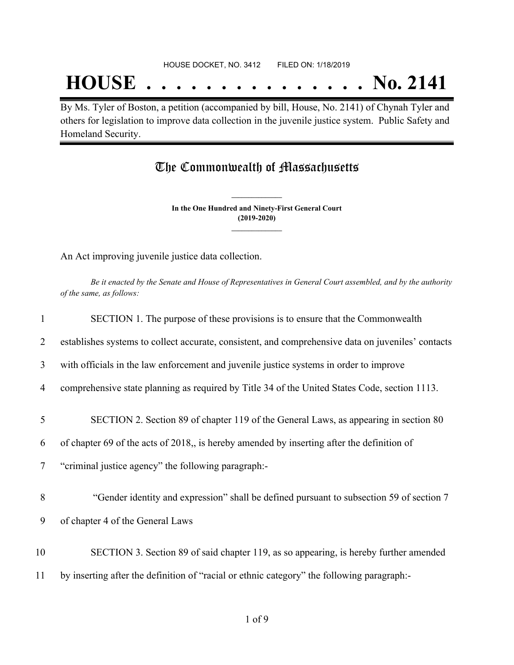## **HOUSE . . . . . . . . . . . . . . . No. 2141**

By Ms. Tyler of Boston, a petition (accompanied by bill, House, No. 2141) of Chynah Tyler and others for legislation to improve data collection in the juvenile justice system. Public Safety and Homeland Security.

### The Commonwealth of Massachusetts

**In the One Hundred and Ninety-First General Court (2019-2020) \_\_\_\_\_\_\_\_\_\_\_\_\_\_\_**

**\_\_\_\_\_\_\_\_\_\_\_\_\_\_\_**

An Act improving juvenile justice data collection.

Be it enacted by the Senate and House of Representatives in General Court assembled, and by the authority *of the same, as follows:*

| $\mathbf{1}$ | SECTION 1. The purpose of these provisions is to ensure that the Commonwealth                      |
|--------------|----------------------------------------------------------------------------------------------------|
| 2            | establishes systems to collect accurate, consistent, and comprehensive data on juveniles' contacts |
| 3            | with officials in the law enforcement and juvenile justice systems in order to improve             |
| 4            | comprehensive state planning as required by Title 34 of the United States Code, section 1113.      |
| 5            | SECTION 2. Section 89 of chapter 119 of the General Laws, as appearing in section 80               |
| 6            | of chapter 69 of the acts of 2018, is hereby amended by inserting after the definition of          |
| 7            | "criminal justice agency" the following paragraph:-                                                |
| 8            | "Gender identity and expression" shall be defined pursuant to subsection 59 of section 7           |
| 9            | of chapter 4 of the General Laws                                                                   |
| 10           | SECTION 3. Section 89 of said chapter 119, as so appearing, is hereby further amended              |
| 11           | by inserting after the definition of "racial or ethnic category" the following paragraph:-         |
|              |                                                                                                    |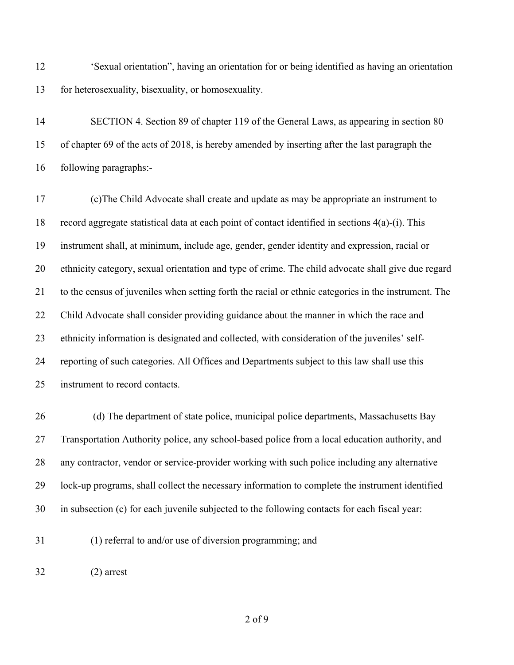'Sexual orientation", having an orientation for or being identified as having an orientation for heterosexuality, bisexuality, or homosexuality.

 SECTION 4. Section 89 of chapter 119 of the General Laws, as appearing in section 80 of chapter 69 of the acts of 2018, is hereby amended by inserting after the last paragraph the following paragraphs:-

 (c)The Child Advocate shall create and update as may be appropriate an instrument to record aggregate statistical data at each point of contact identified in sections 4(a)-(i). This instrument shall, at minimum, include age, gender, gender identity and expression, racial or ethnicity category, sexual orientation and type of crime. The child advocate shall give due regard to the census of juveniles when setting forth the racial or ethnic categories in the instrument. The Child Advocate shall consider providing guidance about the manner in which the race and ethnicity information is designated and collected, with consideration of the juveniles' self- reporting of such categories. All Offices and Departments subject to this law shall use this instrument to record contacts.

26 (d) The department of state police, municipal police departments, Massachusetts Bay Transportation Authority police, any school-based police from a local education authority, and any contractor, vendor or service-provider working with such police including any alternative lock-up programs, shall collect the necessary information to complete the instrument identified in subsection (c) for each juvenile subjected to the following contacts for each fiscal year:

(1) referral to and/or use of diversion programming; and

(2) arrest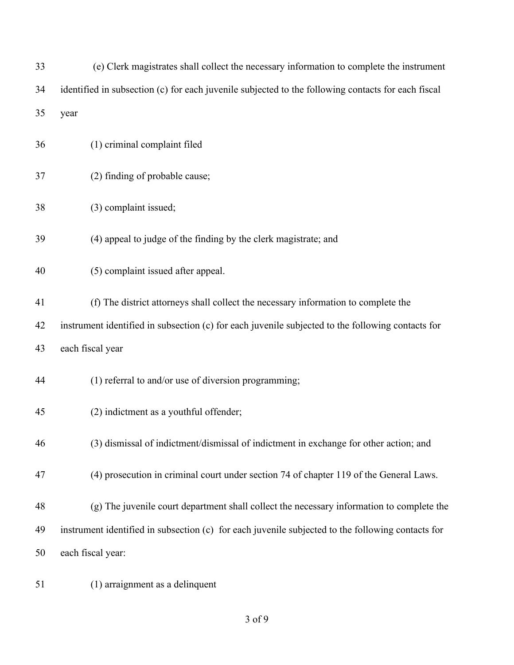| 33 | (e) Clerk magistrates shall collect the necessary information to complete the instrument           |
|----|----------------------------------------------------------------------------------------------------|
| 34 | identified in subsection (c) for each juvenile subjected to the following contacts for each fiscal |
| 35 | year                                                                                               |
| 36 | (1) criminal complaint filed                                                                       |
| 37 | (2) finding of probable cause;                                                                     |
| 38 | (3) complaint issued;                                                                              |
| 39 | (4) appeal to judge of the finding by the clerk magistrate; and                                    |
| 40 | (5) complaint issued after appeal.                                                                 |
| 41 | (f) The district attorneys shall collect the necessary information to complete the                 |
| 42 | instrument identified in subsection (c) for each juvenile subjected to the following contacts for  |
| 43 | each fiscal year                                                                                   |
| 44 | (1) referral to and/or use of diversion programming;                                               |
| 45 | (2) indictment as a youthful offender;                                                             |
| 46 | (3) dismissal of indictment/dismissal of indictment in exchange for other action; and              |
| 47 | (4) prosecution in criminal court under section 74 of chapter 119 of the General Laws.             |
| 48 | (g) The juvenile court department shall collect the necessary information to complete the          |
| 49 | instrument identified in subsection (c) for each juvenile subjected to the following contacts for  |
| 50 | each fiscal year:                                                                                  |
|    |                                                                                                    |

(1) arraignment as a delinquent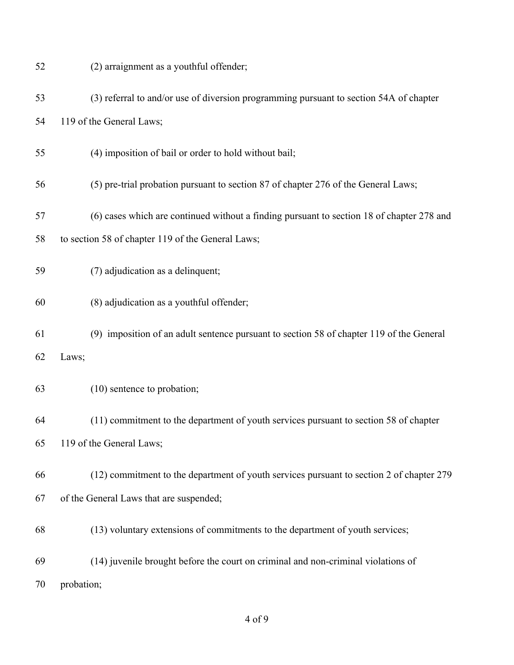| 52 | (2) arraignment as a youthful offender;                                                   |
|----|-------------------------------------------------------------------------------------------|
| 53 | (3) referral to and/or use of diversion programming pursuant to section 54A of chapter    |
| 54 | 119 of the General Laws;                                                                  |
| 55 | (4) imposition of bail or order to hold without bail;                                     |
| 56 | (5) pre-trial probation pursuant to section 87 of chapter 276 of the General Laws;        |
| 57 | (6) cases which are continued without a finding pursuant to section 18 of chapter 278 and |
| 58 | to section 58 of chapter 119 of the General Laws;                                         |
| 59 | (7) adjudication as a delinquent;                                                         |
| 60 | (8) adjudication as a youthful offender;                                                  |
| 61 | (9) imposition of an adult sentence pursuant to section 58 of chapter 119 of the General  |
| 62 | Laws;                                                                                     |
| 63 | (10) sentence to probation;                                                               |
| 64 | (11) commitment to the department of youth services pursuant to section 58 of chapter     |
| 65 | 119 of the General Laws;                                                                  |
| 66 | (12) commitment to the department of youth services pursuant to section 2 of chapter 279  |
| 67 | of the General Laws that are suspended;                                                   |
| 68 | (13) voluntary extensions of commitments to the department of youth services;             |
| 69 | (14) juvenile brought before the court on criminal and non-criminal violations of         |
| 70 | probation;                                                                                |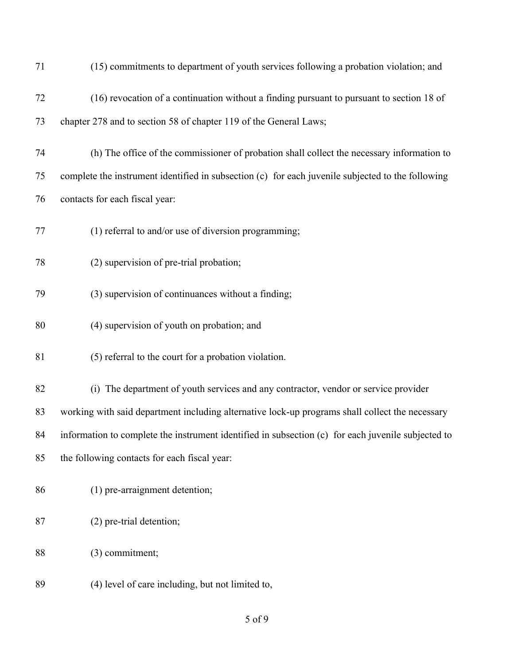| 71 | (15) commitments to department of youth services following a probation violation; and              |
|----|----------------------------------------------------------------------------------------------------|
| 72 | (16) revocation of a continuation without a finding pursuant to pursuant to section 18 of          |
| 73 | chapter 278 and to section 58 of chapter 119 of the General Laws;                                  |
| 74 | (h) The office of the commissioner of probation shall collect the necessary information to         |
| 75 | complete the instrument identified in subsection (c) for each juvenile subjected to the following  |
| 76 | contacts for each fiscal year:                                                                     |
| 77 | (1) referral to and/or use of diversion programming;                                               |
| 78 | (2) supervision of pre-trial probation;                                                            |
| 79 | (3) supervision of continuances without a finding;                                                 |
| 80 | (4) supervision of youth on probation; and                                                         |
| 81 | (5) referral to the court for a probation violation.                                               |
| 82 | (i) The department of youth services and any contractor, vendor or service provider                |
| 83 | working with said department including alternative lock-up programs shall collect the necessary    |
| 84 | information to complete the instrument identified in subsection (c) for each juvenile subjected to |
| 85 | the following contacts for each fiscal year:                                                       |
| 86 | (1) pre-arraignment detention;                                                                     |
| 87 | (2) pre-trial detention;                                                                           |
| 88 | (3) commitment;                                                                                    |
| 89 | (4) level of care including, but not limited to,                                                   |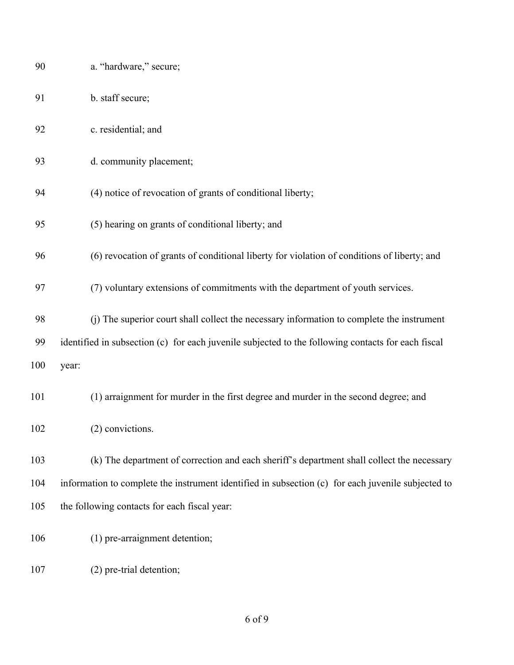| 90  | a. "hardware," secure;                                                                             |
|-----|----------------------------------------------------------------------------------------------------|
| 91  | b. staff secure;                                                                                   |
| 92  | c. residential; and                                                                                |
| 93  | d. community placement;                                                                            |
| 94  | (4) notice of revocation of grants of conditional liberty;                                         |
| 95  | (5) hearing on grants of conditional liberty; and                                                  |
| 96  | (6) revocation of grants of conditional liberty for violation of conditions of liberty; and        |
| 97  | (7) voluntary extensions of commitments with the department of youth services.                     |
| 98  | (j) The superior court shall collect the necessary information to complete the instrument          |
| 99  | identified in subsection (c) for each juvenile subjected to the following contacts for each fiscal |
| 100 | year:                                                                                              |
| 101 | (1) arraignment for murder in the first degree and murder in the second degree; and                |
| 102 | (2) convictions.                                                                                   |
| 103 | (k) The department of correction and each sheriff's department shall collect the necessary         |
| 104 | information to complete the instrument identified in subsection (c) for each juvenile subjected to |
| 105 | the following contacts for each fiscal year:                                                       |
| 106 | (1) pre-arraignment detention;                                                                     |
| 107 | (2) pre-trial detention;                                                                           |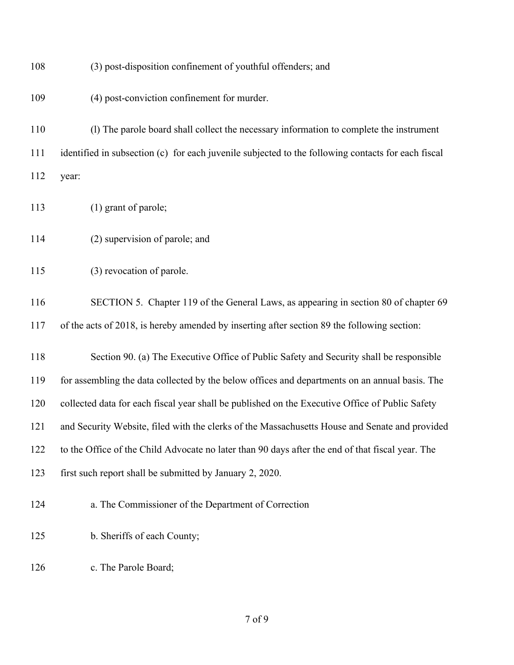| 108 | (3) post-disposition confinement of youthful offenders; and                                        |
|-----|----------------------------------------------------------------------------------------------------|
| 109 | (4) post-conviction confinement for murder.                                                        |
| 110 | (1) The parole board shall collect the necessary information to complete the instrument            |
| 111 | identified in subsection (c) for each juvenile subjected to the following contacts for each fiscal |
| 112 | year:                                                                                              |
| 113 | (1) grant of parole;                                                                               |
| 114 | (2) supervision of parole; and                                                                     |
| 115 | (3) revocation of parole.                                                                          |
| 116 | SECTION 5. Chapter 119 of the General Laws, as appearing in section 80 of chapter 69               |
| 117 | of the acts of 2018, is hereby amended by inserting after section 89 the following section:        |
| 118 | Section 90. (a) The Executive Office of Public Safety and Security shall be responsible            |
| 119 | for assembling the data collected by the below offices and departments on an annual basis. The     |
| 120 | collected data for each fiscal year shall be published on the Executive Office of Public Safety    |
| 121 | and Security Website, filed with the clerks of the Massachusetts House and Senate and provided     |
| 122 | to the Office of the Child Advocate no later than 90 days after the end of that fiscal year. The   |
| 123 | first such report shall be submitted by January 2, 2020.                                           |
| 124 | a. The Commissioner of the Department of Correction                                                |
| 125 | b. Sheriffs of each County;                                                                        |
| 126 | c. The Parole Board;                                                                               |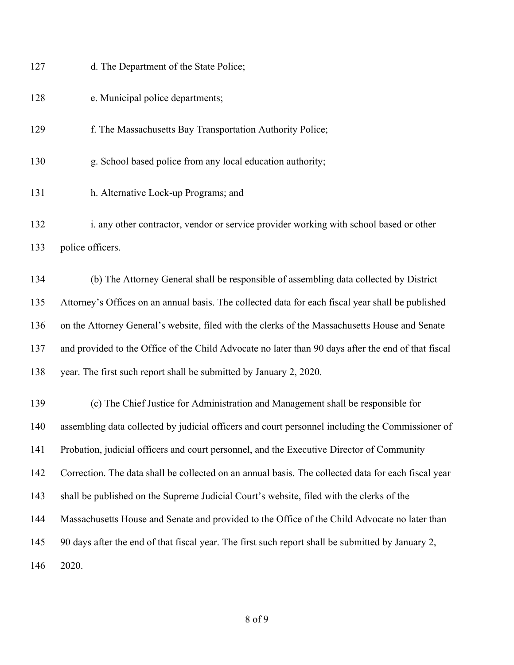| 127 | d. The Department of the State Police;                                                              |
|-----|-----------------------------------------------------------------------------------------------------|
| 128 | e. Municipal police departments;                                                                    |
| 129 | f. The Massachusetts Bay Transportation Authority Police;                                           |
| 130 | g. School based police from any local education authority;                                          |
| 131 | h. Alternative Lock-up Programs; and                                                                |
| 132 | i. any other contractor, vendor or service provider working with school based or other              |
| 133 | police officers.                                                                                    |
| 134 | (b) The Attorney General shall be responsible of assembling data collected by District              |
| 135 | Attorney's Offices on an annual basis. The collected data for each fiscal year shall be published   |
| 136 | on the Attorney General's website, filed with the clerks of the Massachusetts House and Senate      |
| 137 | and provided to the Office of the Child Advocate no later than 90 days after the end of that fiscal |
| 138 | year. The first such report shall be submitted by January 2, 2020.                                  |
| 139 | (c) The Chief Justice for Administration and Management shall be responsible for                    |
| 140 | assembling data collected by judicial officers and court personnel including the Commissioner of    |
| 141 | Probation, judicial officers and court personnel, and the Executive Director of Community           |
| 142 | Correction. The data shall be collected on an annual basis. The collected data for each fiscal year |
| 143 | shall be published on the Supreme Judicial Court's website, filed with the clerks of the            |
| 144 | Massachusetts House and Senate and provided to the Office of the Child Advocate no later than       |
| 145 | 90 days after the end of that fiscal year. The first such report shall be submitted by January 2,   |
| 146 | 2020.                                                                                               |
|     |                                                                                                     |
|     |                                                                                                     |